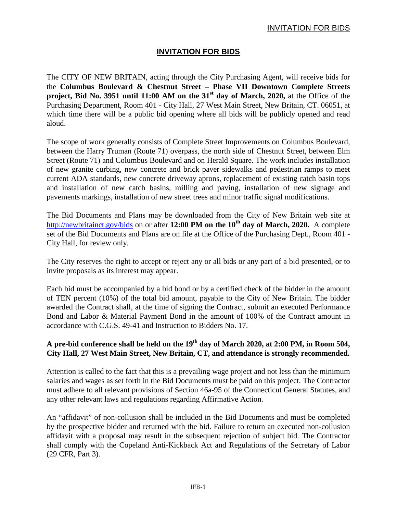## **INVITATION FOR BIDS**

The CITY OF NEW BRITAIN, acting through the City Purchasing Agent, will receive bids for the **Columbus Boulevard & Chestnut Street – Phase VII Downtown Complete Streets project, Bid No. 3951 until 11:00 AM on the 31st day of March, 2020,** at the Office of the Purchasing Department, Room 401 - City Hall, 27 West Main Street, New Britain, CT. 06051, at which time there will be a public bid opening where all bids will be publicly opened and read aloud.

The scope of work generally consists of Complete Street Improvements on Columbus Boulevard, between the Harry Truman (Route 71) overpass, the north side of Chestnut Street, between Elm Street (Route 71) and Columbus Boulevard and on Herald Square. The work includes installation of new granite curbing, new concrete and brick paver sidewalks and pedestrian ramps to meet current ADA standards, new concrete driveway aprons, replacement of existing catch basin tops and installation of new catch basins, milling and paving, installation of new signage and pavements markings, installation of new street trees and minor traffic signal modifications.

The Bid Documents and Plans may be downloaded from the City of New Britain web site at <http://newbritainct.gov/bids> on or after 12:00 PM on the 10<sup>th</sup> day of March, 2020. A complete set of the Bid Documents and Plans are on file at the Office of the Purchasing Dept., Room 401 - City Hall, for review only.

The City reserves the right to accept or reject any or all bids or any part of a bid presented, or to invite proposals as its interest may appear.

Each bid must be accompanied by a bid bond or by a certified check of the bidder in the amount of TEN percent (10%) of the total bid amount, payable to the City of New Britain. The bidder awarded the Contract shall, at the time of signing the Contract, submit an executed Performance Bond and Labor & Material Payment Bond in the amount of 100% of the Contract amount in accordance with C.G.S. 49-41 and Instruction to Bidders No. 17.

## **A pre-bid conference shall be held on the 19th day of March 2020, at 2:00 PM, in Room 504, City Hall, 27 West Main Street, New Britain, CT, and attendance is strongly recommended.**

Attention is called to the fact that this is a prevailing wage project and not less than the minimum salaries and wages as set forth in the Bid Documents must be paid on this project. The Contractor must adhere to all relevant provisions of Section 46a-95 of the Connecticut General Statutes, and any other relevant laws and regulations regarding Affirmative Action.

An "affidavit" of non-collusion shall be included in the Bid Documents and must be completed by the prospective bidder and returned with the bid. Failure to return an executed non-collusion affidavit with a proposal may result in the subsequent rejection of subject bid. The Contractor shall comply with the Copeland Anti-Kickback Act and Regulations of the Secretary of Labor (29 CFR, Part 3).